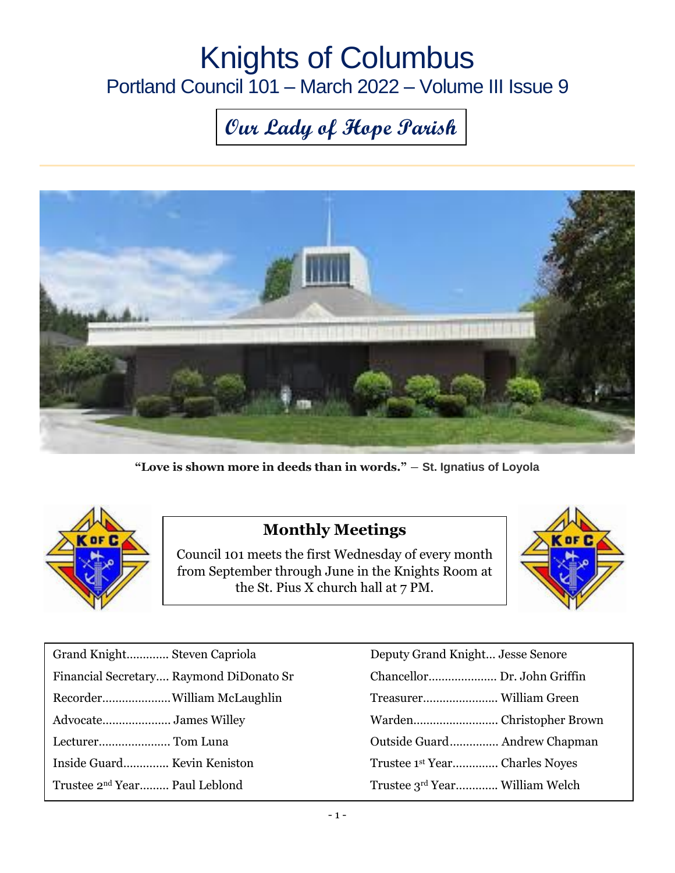# Knights of Columbus Portland Council 101 – March 2022 – Volume III Issue 9

# **Our Lady of Hope Parish**



**"Love is shown more in deeds than in words."** ― **St. Ignatius of Loyola**



#### **Monthly Meetings**

Council 101 meets the first Wednesday of every month from September through June in the Knights Room at the St. Pius X church hall at 7 PM.



| Grand Knight Steven Capriola              | Deputy Grand Knight Jesse Senore           |
|-------------------------------------------|--------------------------------------------|
| Financial Secretary Raymond DiDonato Sr   |                                            |
|                                           |                                            |
|                                           |                                            |
| Lecturer Tom Luna                         |                                            |
| Inside Guard Kevin Keniston               | Trustee 1 <sup>st</sup> Year Charles Noyes |
| Trustee 2 <sup>nd</sup> Year Paul Leblond | Trustee 3rd Year William Welch             |

| Deputy Grand Knight Jesse Senore           |  |
|--------------------------------------------|--|
| Chancellor Dr. John Griffin                |  |
|                                            |  |
|                                            |  |
| Outside Guard Andrew Chapman               |  |
| Trustee 1 <sup>st</sup> Year Charles Noyes |  |
| Trustee 3rd Year William Welch             |  |
|                                            |  |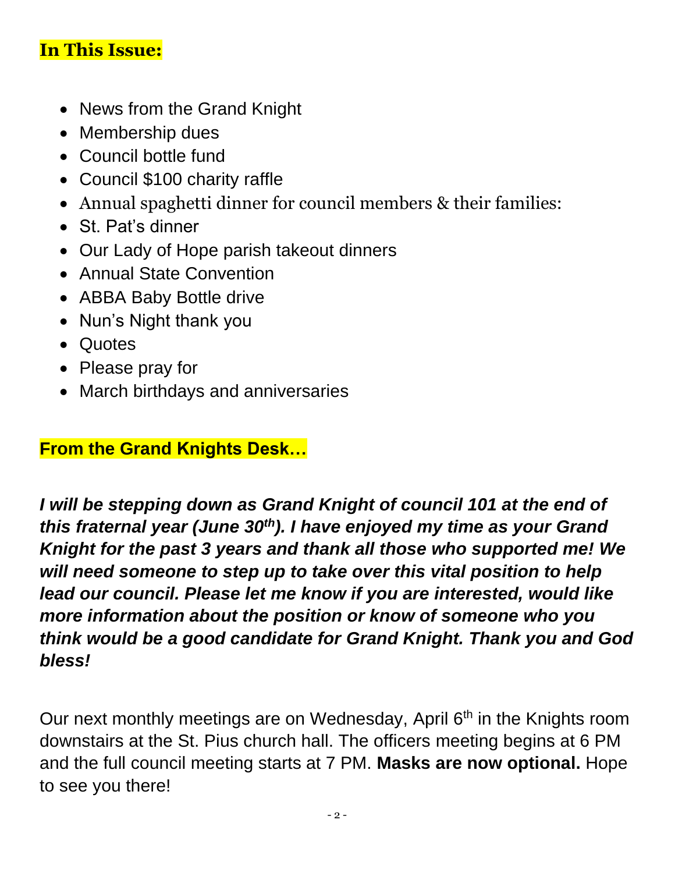## **In This Issue:**

- News from the Grand Knight
- Membership dues
- Council bottle fund
- Council \$100 charity raffle
- Annual spaghetti dinner for council members & their families:
- St. Pat's dinner
- Our Lady of Hope parish takeout dinners
- Annual State Convention
- ABBA Baby Bottle drive
- Nun's Night thank you
- Quotes
- Please pray for
- March birthdays and anniversaries

## **From the Grand Knights Desk…**

*I will be stepping down as Grand Knight of council 101 at the end of this fraternal year (June 30th). I have enjoyed my time as your Grand Knight for the past 3 years and thank all those who supported me! We will need someone to step up to take over this vital position to help lead our council. Please let me know if you are interested, would like more information about the position or know of someone who you think would be a good candidate for Grand Knight. Thank you and God bless!*

Our next monthly meetings are on Wednesday, April 6<sup>th</sup> in the Knights room downstairs at the St. Pius church hall. The officers meeting begins at 6 PM and the full council meeting starts at 7 PM. **Masks are now optional.** Hope to see you there!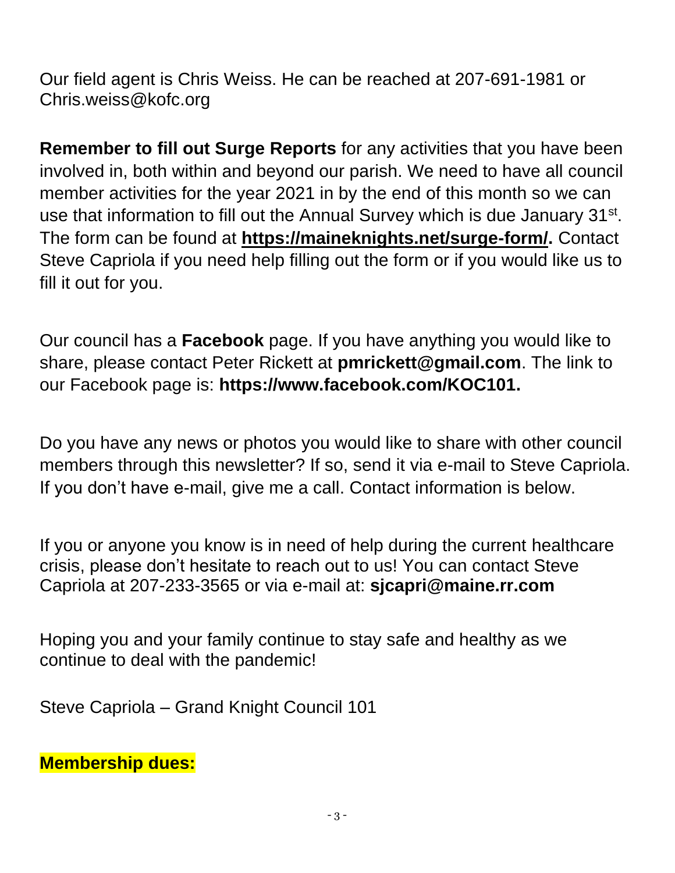Our field agent is Chris Weiss. He can be reached at 207-691-1981 or [Chris.weiss@kofc.org](mailto:Chris.weiss@kofc.org)

**Remember to fill out Surge Reports** for any activities that you have been involved in, both within and beyond our parish. We need to have all council member activities for the year 2021 in by the end of this month so we can use that information to fill out the Annual Survey which is due January 31<sup>st</sup>. The form can be found at **[https://maineknights.net/surge-form/.](https://maineknights.net/surge-form/)** Contact Steve Capriola if you need help filling out the form or if you would like us to fill it out for you.

Our council has a **Facebook** page. If you have anything you would like to share, please contact Peter Rickett at **[pmrickett@gmail.com](mailto:pmrickett@gmail.com)**. The link to our Facebook page is: **https://www.facebook.com/KOC101.**

Do you have any news or photos you would like to share with other council members through this newsletter? If so, send it via e-mail to Steve Capriola. If you don't have e-mail, give me a call. Contact information is below.

If you or anyone you know is in need of help during the current healthcare crisis, please don't hesitate to reach out to us! You can contact Steve Capriola at 207-233-3565 or via e-mail at: **[sjcapri@maine.rr.com](mailto:sjcapri@maine.rr.com)**

Hoping you and your family continue to stay safe and healthy as we continue to deal with the pandemic!

Steve Capriola – Grand Knight Council 101

**Membership dues:**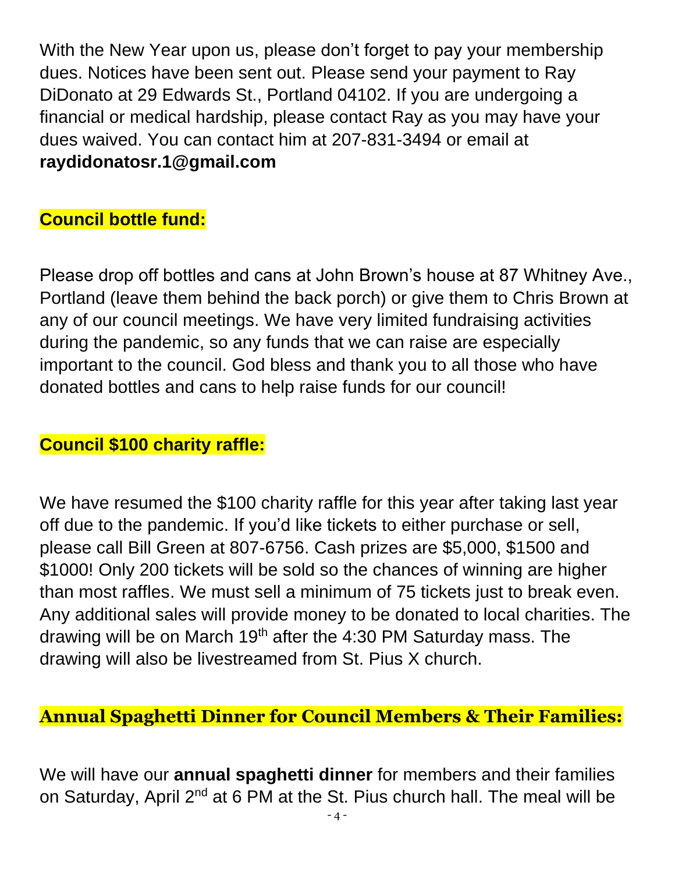With the New Year upon us, please don't forget to pay your membership dues. Notices have been sent out. Please send your payment to Ray DiDonato at 29 Edwards St., Portland 04102. If you are undergoing a financial or medical hardship, please contact Ray as you may have your dues waived. You can contact him at 207-831-3494 or email at **[raydidonatosr.1@gmail.com](mailto:raydidonatosr.1@gmail.com)**

## **Council bottle fund:**

Please drop off bottles and cans at John Brown's house at 87 Whitney Ave., Portland (leave them behind the back porch) or give them to Chris Brown at any of our council meetings. We have very limited fundraising activities during the pandemic, so any funds that we can raise are especially important to the council. God bless and thank you to all those who have donated bottles and cans to help raise funds for our council!

## **Council \$100 charity raffle:**

We have resumed the \$100 charity raffle for this year after taking last year off due to the pandemic. If you'd like tickets to either purchase or sell, please call Bill Green at 807-6756. Cash prizes are \$5,000, \$1500 and \$1000! Only 200 tickets will be sold so the chances of winning are higher than most raffles. We must sell a minimum of 75 tickets just to break even. Any additional sales will provide money to be donated to local charities. The drawing will be on March 19<sup>th</sup> after the 4:30 PM Saturday mass. The drawing will also be livestreamed from St. Pius X church.

#### **Annual Spaghetti Dinner for Council Members & Their Families:**

We will have our **annual spaghetti dinner** for members and their families on Saturday, April 2<sup>nd</sup> at 6 PM at the St. Pius church hall. The meal will be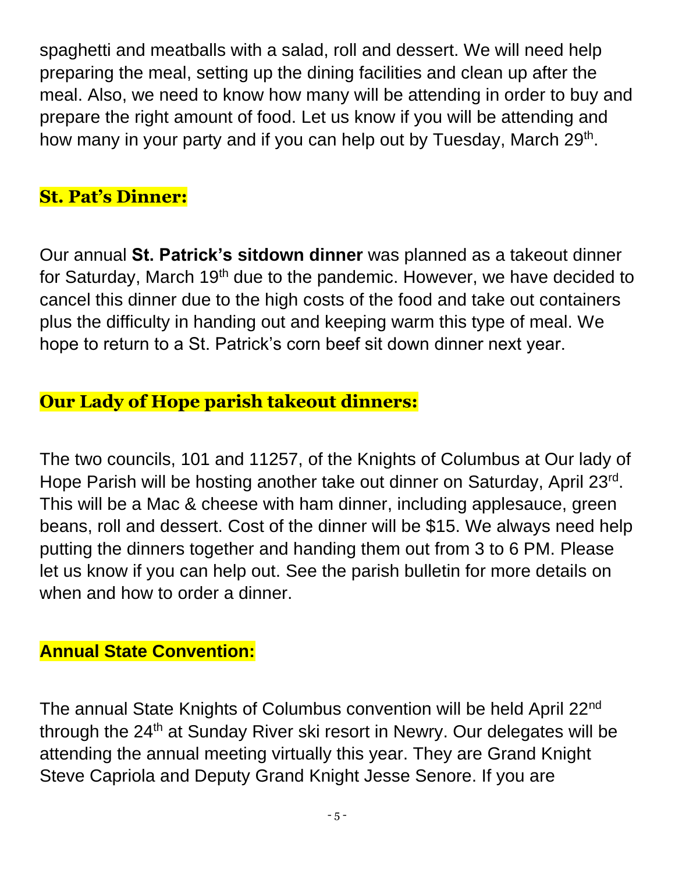spaghetti and meatballs with a salad, roll and dessert. We will need help preparing the meal, setting up the dining facilities and clean up after the meal. Also, we need to know how many will be attending in order to buy and prepare the right amount of food. Let us know if you will be attending and how many in your party and if you can help out by Tuesday, March 29<sup>th</sup>.

## **St. Pat's Dinner:**

Our annual **St. Patrick's sitdown dinner** was planned as a takeout dinner for Saturday, March 19<sup>th</sup> due to the pandemic. However, we have decided to cancel this dinner due to the high costs of the food and take out containers plus the difficulty in handing out and keeping warm this type of meal. We hope to return to a St. Patrick's corn beef sit down dinner next year.

## **Our Lady of Hope parish takeout dinners:**

The two councils, 101 and 11257, of the Knights of Columbus at Our lady of Hope Parish will be hosting another take out dinner on Saturday, April 23<sup>rd</sup>. This will be a Mac & cheese with ham dinner, including applesauce, green beans, roll and dessert. Cost of the dinner will be \$15. We always need help putting the dinners together and handing them out from 3 to 6 PM. Please let us know if you can help out. See the parish bulletin for more details on when and how to order a dinner.

## **Annual State Convention:**

The annual State Knights of Columbus convention will be held April 22nd through the 24<sup>th</sup> at Sunday River ski resort in Newry. Our delegates will be attending the annual meeting virtually this year. They are Grand Knight Steve Capriola and Deputy Grand Knight Jesse Senore. If you are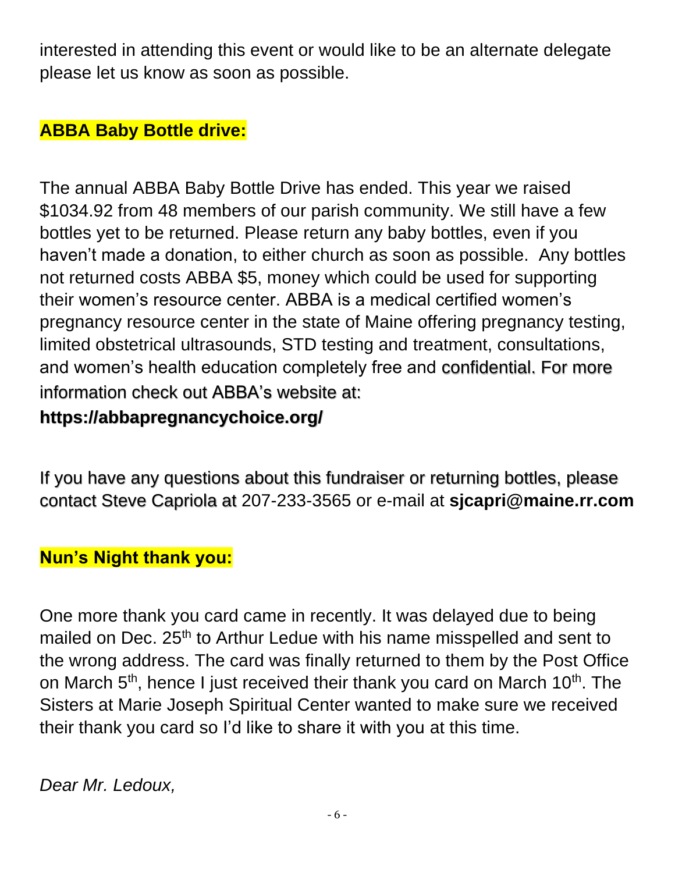interested in attending this event or would like to be an alternate delegate please let us know as soon as possible.

## **ABBA Baby Bottle drive:**

The annual ABBA Baby Bottle Drive has ended. This year we raised \$1034.92 from 48 members of our parish community. We still have a few bottles yet to be returned. Please return any baby bottles, even if you haven't made a donation, to either church as soon as possible. Any bottles not returned costs ABBA \$5, money which could be used for supporting their women's resource center. ABBA is a medical certified women's pregnancy resource center in the state of Maine offering pregnancy testing, limited obstetrical ultrasounds, STD testing and treatment, consultations, and women's health education completely free and confidential. For more information check out ABBA's website at:

## **https://abbapregnancychoice.org/**

If you have any questions about this fundraiser or returning bottles, please contact Steve Capriola at 207-233-3565 or e-mail at **[sjcapri@maine.rr.com](mailto:sjcapri@maine.rr.com)**

## **Nun's Night thank you:**

One more thank you card came in recently. It was delayed due to being mailed on Dec. 25<sup>th</sup> to Arthur Ledue with his name misspelled and sent to the wrong address. The card was finally returned to them by the Post Office on March 5<sup>th</sup>, hence I just received their thank you card on March 10<sup>th</sup>. The Sisters at Marie Joseph Spiritual Center wanted to make sure we received their thank you card so I'd like to share it with you at this time.

*Dear Mr. Ledoux,*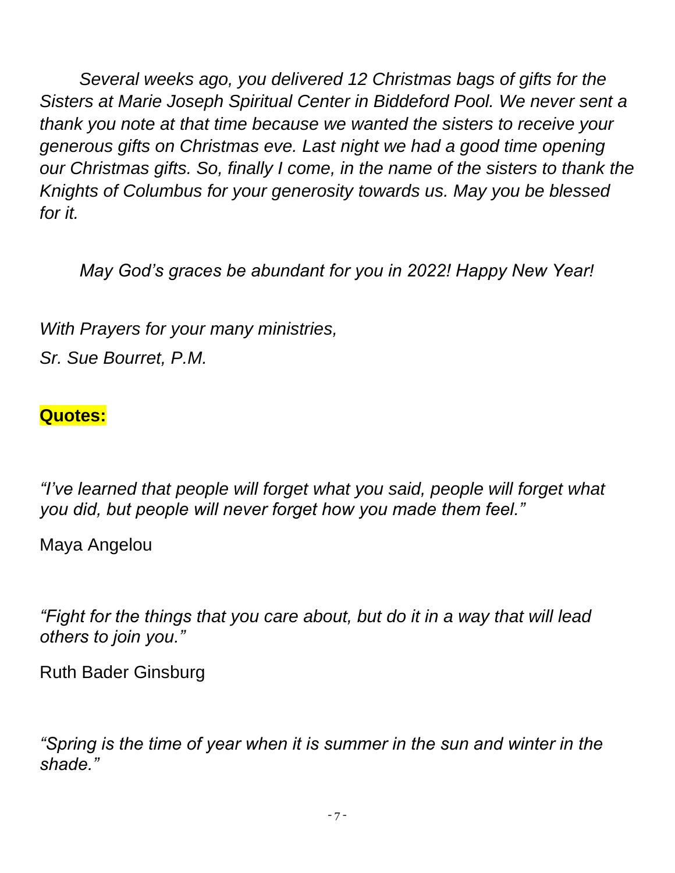*Several weeks ago, you delivered 12 Christmas bags of gifts for the Sisters at Marie Joseph Spiritual Center in Biddeford Pool. We never sent a thank you note at that time because we wanted the sisters to receive your generous gifts on Christmas eve. Last night we had a good time opening our Christmas gifts. So, finally I come, in the name of the sisters to thank the Knights of Columbus for your generosity towards us. May you be blessed for it.* 

*May God's graces be abundant for you in 2022! Happy New Year!*

*With Prayers for your many ministries, Sr. Sue Bourret, P.M.*

#### **Quotes:**

*"I've learned that people will forget what you said, people will forget what you did, but people will never forget how you made them feel."*

Maya Angelou

*"Fight for the things that you care about, but do it in a way that will lead others to join you."*

Ruth Bader Ginsburg

*"Spring is the time of year when it is summer in the sun and winter in the shade."*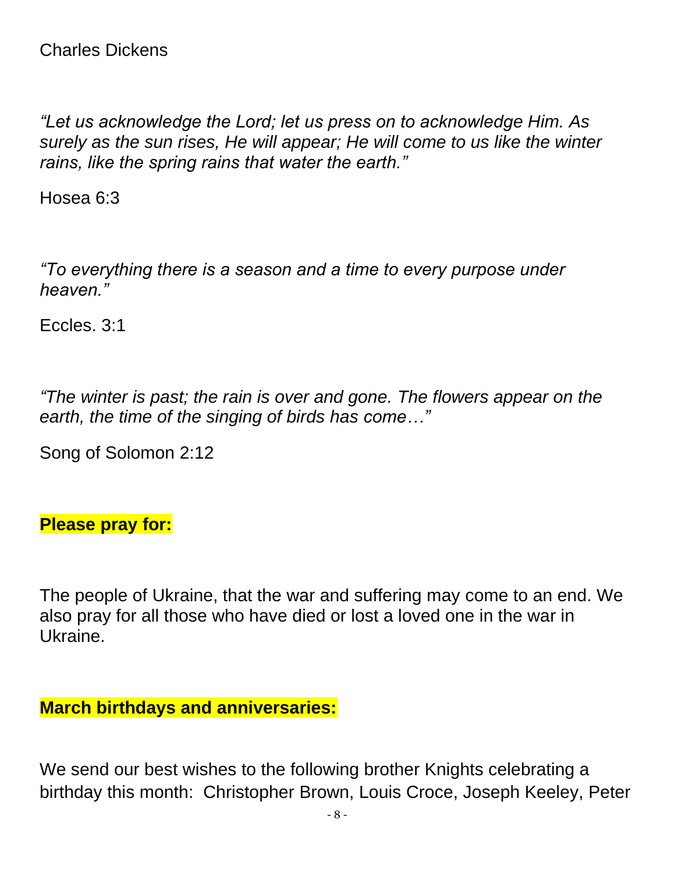*"Let us acknowledge the Lord; let us press on to acknowledge Him. As surely as the sun rises, He will appear; He will come to us like the winter rains, like the spring rains that water the earth."*

Hosea 6:3

*"To everything there is a season and a time to every purpose under heaven."*

Eccles. 3:1

*"The winter is past; the rain is over and gone. The flowers appear on the earth, the time of the singing of birds has come…"*

Song of Solomon 2:12

#### **Please pray for:**

The people of Ukraine, that the war and suffering may come to an end. We also pray for all those who have died or lost a loved one in the war in Ukraine.

**March birthdays and anniversaries:**

We send our best wishes to the following brother Knights celebrating a birthday this month: Christopher Brown, Louis Croce, Joseph Keeley, Peter